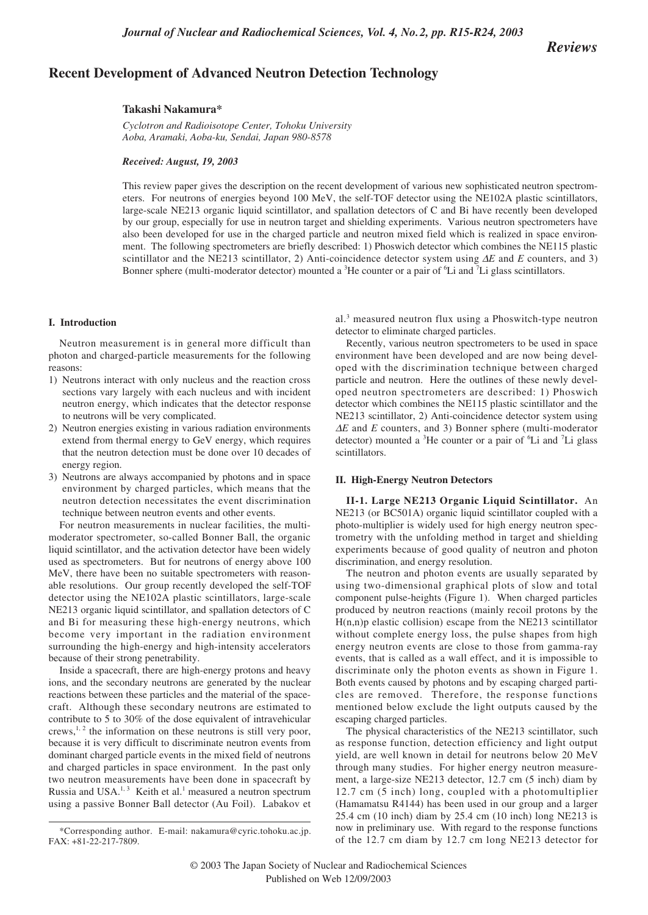*Reviews*

# **Recent Development of Advanced Neutron Detection Technology**

#### **Takashi Nakamura\***

*Cyclotron and Radioisotope Center, Tohoku University Aoba, Aramaki, Aoba-ku, Sendai, Japan 980-8578*

#### *Received: August, 19, 2003; In Final Form: August 21, 2003*

This review paper gives the description on the recent development of various new sophisticated neutron spectrometers. For neutrons of energies beyond 100 MeV, the self-TOF detector using the NE102A plastic scintillators, large-scale NE213 organic liquid scintillator, and spallation detectors of C and Bi have recently been developed by our group, especially for use in neutron target and shielding experiments. Various neutron spectrometers have also been developed for use in the charged particle and neutron mixed field which is realized in space environment. The following spectrometers are briefly described: 1) Phoswich detector which combines the NE115 plastic scintillator and the NE213 scintillator, 2) Anti-coincidence detector system using ∆*E* and *E* counters, and 3) Bonner sphere (multi-moderator detector) mounted a <sup>3</sup>He counter or a pair of <sup>6</sup>Li and <sup>7</sup>Li glass scintillators.

## **I. Introduction**

Neutron measurement is in general more difficult than photon and charged-particle measurements for the following reasons:

- 1) Neutrons interact with only nucleus and the reaction cross sections vary largely with each nucleus and with incident neutron energy, which indicates that the detector response to neutrons will be very complicated.
- 2) Neutron energies existing in various radiation environments extend from thermal energy to GeV energy, which requires that the neutron detection must be done over 10 decades of energy region.
- 3) Neutrons are always accompanied by photons and in space environment by charged particles, which means that the neutron detection necessitates the event discrimination technique between neutron events and other events.

For neutron measurements in nuclear facilities, the multimoderator spectrometer, so-called Bonner Ball, the organic liquid scintillator, and the activation detector have been widely used as spectrometers. But for neutrons of energy above 100 MeV, there have been no suitable spectrometers with reasonable resolutions. Our group recently developed the self-TOF detector using the NE102A plastic scintillators, large-scale NE213 organic liquid scintillator, and spallation detectors of C and Bi for measuring these high-energy neutrons, which become very important in the radiation environment surrounding the high-energy and high-intensity accelerators because of their strong penetrability.

Inside a spacecraft, there are high-energy protons and heavy ions, and the secondary neutrons are generated by the nuclear reactions between these particles and the material of the spacecraft. Although these secondary neutrons are estimated to contribute to 5 to 30% of the dose equivalent of intravehicular crews, $1, 2$  the information on these neutrons is still very poor, because it is very difficult to discriminate neutron events from dominant charged particle events in the mixed field of neutrons and charged particles in space environment. In the past only two neutron measurements have been done in spacecraft by Russia and USA.<sup>1, 3</sup> Keith et al.<sup>1</sup> measured a neutron spectrum using a passive Bonner Ball detector (Au Foil). Labakov et al.3 measured neutron flux using a Phoswitch-type neutron detector to eliminate charged particles.

Recently, various neutron spectrometers to be used in space environment have been developed and are now being developed with the discrimination technique between charged particle and neutron. Here the outlines of these newly developed neutron spectrometers are described: 1) Phoswich detector which combines the NE115 plastic scintillator and the NE213 scintillator, 2) Anti-coincidence detector system using <sup>∆</sup>*E* and *E* counters, and 3) Bonner sphere (multi-moderator detector) mounted a <sup>3</sup>He counter or a pair of <sup>6</sup>Li and <sup>7</sup>Li glass scintillators.

## **II. High-Energy Neutron Detectors**

**II-1. Large NE213 Organic Liquid Scintillator.** An NE213 (or BC501A) organic liquid scintillator coupled with a photo-multiplier is widely used for high energy neutron spectrometry with the unfolding method in target and shielding experiments because of good quality of neutron and photon discrimination, and energy resolution.

The neutron and photon events are usually separated by using two-dimensional graphical plots of slow and total component pulse-heights (Figure 1). When charged particles produced by neutron reactions (mainly recoil protons by the  $H(n,n)p$  elastic collision) escape from the NE213 scintillator without complete energy loss, the pulse shapes from high energy neutron events are close to those from gamma-ray events, that is called as a wall effect, and it is impossible to discriminate only the photon events as shown in Figure 1. Both events caused by photons and by escaping charged particles are removed. Therefore, the response functions mentioned below exclude the light outputs caused by the escaping charged particles.

The physical characteristics of the NE213 scintillator, such as response function, detection efficiency and light output yield, are well known in detail for neutrons below 20 MeV through many studies. For higher energy neutron measurement, a large-size NE213 detector, 12.7 cm (5 inch) diam by 12.7 cm (5 inch) long, coupled with a photomultiplier (Hamamatsu R4144) has been used in our group and a larger 25.4 cm (10 inch) diam by 25.4 cm (10 inch) long NE213 is now in preliminary use. With regard to the response functions of the 12.7 cm diam by 12.7 cm long NE213 detector for

<sup>\*</sup>Corresponding author. E-mail: nakamura@cyric.tohoku.ac.jp. FAX: +81-22-217-7809.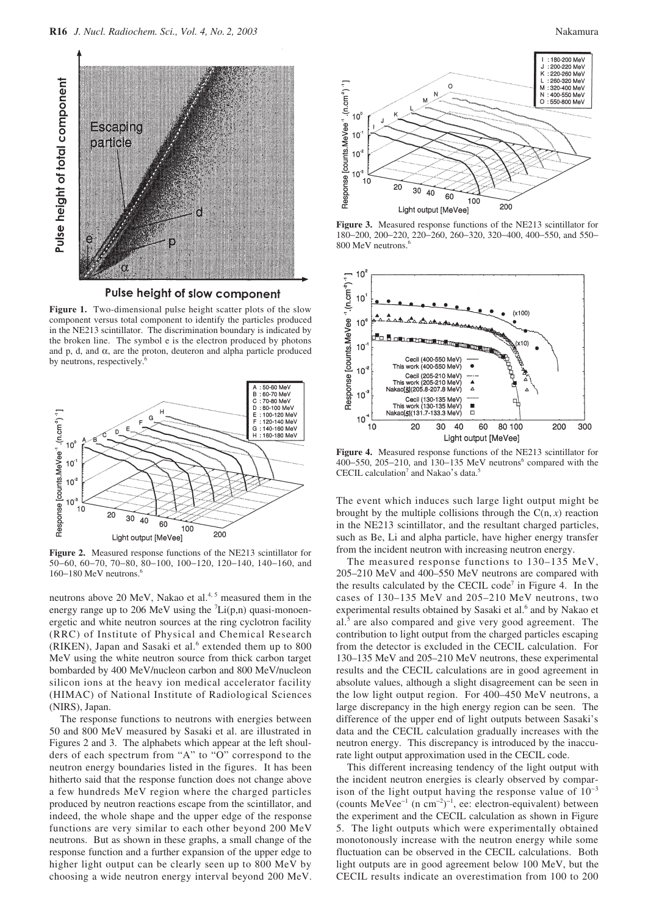



**Figure 1.** Two-dimensional pulse height scatter plots of the slow component versus total component to identify the particles produced in the NE213 scintillator. The discrimination boundary is indicated by the broken line. The symbol e is the electron produced by photons and p, d, and  $\alpha$ , are the proton, deuteron and alpha particle produced by neutrons, respectively.<sup>6</sup>



**Figure 2.** Measured response functions of the NE213 scintillator for 50−60, 60−70, 70−80, 80−100, 100−120, 120−140, 140−160, and 160–180 MeV neutrons.<sup>6</sup>

neutrons above 20 MeV, Nakao et al. $4, 5$  measured them in the energy range up to 206 MeV using the  $\text{Li}(p,n)$  quasi-monoenergetic and white neutron sources at the ring cyclotron facility (RRC) of Institute of Physical and Chemical Research (RIKEN), Japan and Sasaki et al.<sup>6</sup> extended them up to 800 MeV using the white neutron source from thick carbon target bombarded by 400 MeV/nucleon carbon and 800 MeV/nucleon silicon ions at the heavy ion medical accelerator facility (HIMAC) of National Institute of Radiological Sciences (NIRS), Japan.

The response functions to neutrons with energies between 50 and 800 MeV measured by Sasaki et al. are illustrated in Figures 2 and 3. The alphabets which appear at the left shoulders of each spectrum from "A" to "O" correspond to the neutron energy boundaries listed in the figures. It has been hitherto said that the response function does not change above a few hundreds MeV region where the charged particles produced by neutron reactions escape from the scintillator, and indeed, the whole shape and the upper edge of the response functions are very similar to each other beyond 200 MeV neutrons. But as shown in these graphs, a small change of the response function and a further expansion of the upper edge to higher light output can be clearly seen up to 800 MeV by choosing a wide neutron energy interval beyond 200 MeV.



**Figure 3.** Measured response functions of the NE213 scintillator for 180−200, 200−220, 220−260, 260−320, 320−400, 400−550, and 550− 800 MeV neutrons.<sup>6</sup>



**Figure 4.** Measured response functions of the NE213 scintillator for 400–550, 205–210, and 130–135 MeV neutrons<sup>6</sup> compared with the CECIL calculation<sup>7</sup> and Nakao's data.<sup>5</sup>

The event which induces such large light output might be brought by the multiple collisions through the  $C(n, x)$  reaction in the NE213 scintillator, and the resultant charged particles, such as Be, Li and alpha particle, have higher energy transfer from the incident neutron with increasing neutron energy.

The measured response functions to 130–135 MeV, 205–210 MeV and 400–550 MeV neutrons are compared with the results calculated by the CECIL code<sup>7</sup> in Figure 4. In the cases of 130–135 MeV and 205–210 MeV neutrons, two experimental results obtained by Sasaki et al.<sup>6</sup> and by Nakao et al.<sup>5</sup> are also compared and give very good agreement. The contribution to light output from the charged particles escaping from the detector is excluded in the CECIL calculation. For 130–135 MeV and 205–210 MeV neutrons, these experimental results and the CECIL calculations are in good agreement in absolute values, although a slight disagreement can be seen in the low light output region. For 400–450 MeV neutrons, a large discrepancy in the high energy region can be seen. The difference of the upper end of light outputs between Sasaki's data and the CECIL calculation gradually increases with the neutron energy. This discrepancy is introduced by the inaccurate light output approximation used in the CECIL code.

This different increasing tendency of the light output with the incident neutron energies is clearly observed by comparison of the light output having the response value of  $10^{-3}$ (counts MeVee<sup>-1</sup> (n cm<sup>-2</sup>)<sup>-1</sup>, ee: electron-equivalent) between the experiment and the CECIL calculation as shown in Figure 5. The light outputs which were experimentally obtained monotonously increase with the neutron energy while some fluctuation can be observed in the CECIL calculations. Both light outputs are in good agreement below 100 MeV, but the CECIL results indicate an overestimation from 100 to 200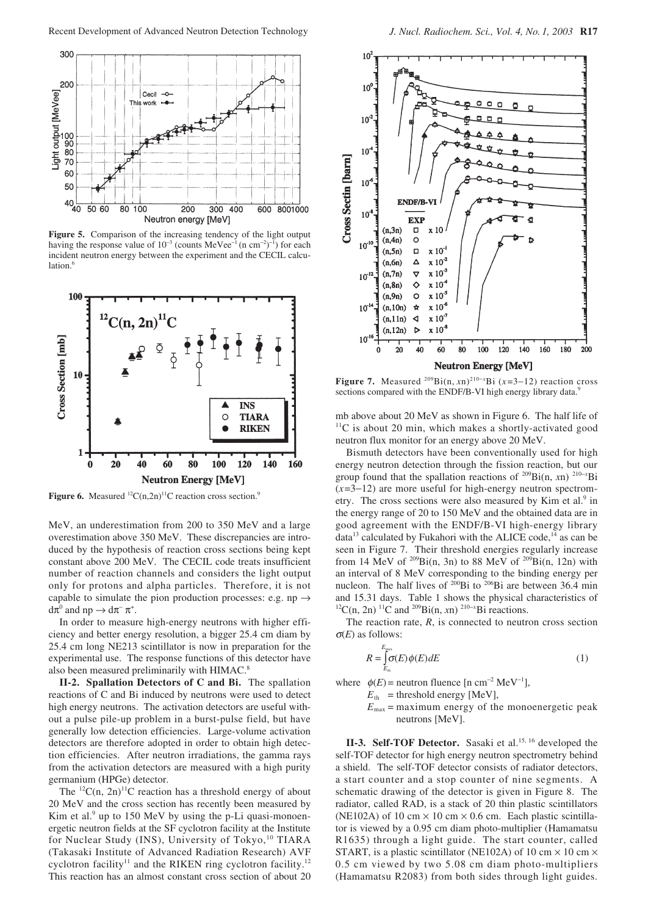

**Figure 5.** Comparison of the increasing tendency of the light output having the response value of  $10^{-3}$  (counts MeVee<sup>-1</sup> (n cm<sup>-2</sup>)<sup>-1</sup>) for each incident neutron energy between the experiment and the CECIL calculation. $<sup>6</sup>$ </sup>



**Figure 6.** Measured <sup>12</sup>C(n,2n)<sup>11</sup>C reaction cross section.<sup>9</sup>

MeV, an underestimation from 200 to 350 MeV and a large overestimation above 350 MeV. These discrepancies are introduced by the hypothesis of reaction cross sections being kept constant above 200 MeV. The CECIL code treats insufficient number of reaction channels and considers the light output only for protons and alpha particles. Therefore, it is not capable to simulate the pion production processes: e.g. np  $\rightarrow$  $d\pi^0$  and  $np \to d\pi^- \pi^+$ .

In order to measure high-energy neutrons with higher efficiency and better energy resolution, a bigger 25.4 cm diam by 25.4 cm long NE213 scintillator is now in preparation for the experimental use. The response functions of this detector have also been measured preliminarily with HIMAC.

**II-2. Spallation Detectors of C and Bi.** The spallation reactions of C and Bi induced by neutrons were used to detect high energy neutrons. The activation detectors are useful without a pulse pile-up problem in a burst-pulse field, but have generally low detection efficiencies. Large-volume activation detectors are therefore adopted in order to obtain high detection efficiencies. After neutron irradiations, the gamma rays from the activation detectors are measured with a high purity germanium (HPGe) detector.

The  ${}^{12}C(n, 2n)$ <sup>11</sup>C reaction has a threshold energy of about 20 MeV and the cross section has recently been measured by Kim et al. $9$  up to 150 MeV by using the p-Li quasi-monoenergetic neutron fields at the SF cyclotron facility at the Institute for Nuclear Study (INS), University of Tokyo,<sup>10</sup> TIARA (Takasaki Institute of Advanced Radiation Research) AVF cyclotron facility<sup>11</sup> and the RIKEN ring cyclotron facility.<sup>12</sup> This reaction has an almost constant cross section of about 20



**Figure 7.** Measured <sup>209</sup>Bi(n, *x*n)<sup>210-*x*</sup>Bi (*x*=3−12) reaction cross sections compared with the ENDF/B-VI high energy library data.<sup>9</sup>

mb above about 20 MeV as shown in Figure 6. The half life of  $11$ C is about 20 min, which makes a shortly-activated good neutron flux monitor for an energy above 20 MeV.

Bismuth detectors have been conventionally used for high energy neutron detection through the fission reaction, but our group found that the spallation reactions of 209Bi(n, *x*n) 210<sup>−</sup>*<sup>x</sup>* Bi (*x*=3−12) are more useful for high-energy neutron spectrometry. The cross sections were also measured by Kim et al.<sup>9</sup> in the energy range of 20 to 150 MeV and the obtained data are in good agreement with the ENDF/B-VI high-energy library data $13$  calculated by Fukahori with the ALICE code, $14$  as can be seen in Figure 7. Their threshold energies regularly increase from 14 MeV of  $^{209}Bi(n, 3n)$  to 88 MeV of  $^{209}Bi(n, 12n)$  with an interval of 8 MeV corresponding to the binding energy per nucleon. The half lives of  $200Bi$  to  $206Bi$  are between 36.4 min and 15.31 days. Table 1 shows the physical characteristics of  ${}^{12}C(n, 2n)$   ${}^{11}C$  and  ${}^{209}Bi(n, xn)$   ${}^{210-x}Bi$  reactions.

The reaction rate,  $R$ , is connected to neutron cross section <sup>σ</sup>(*E*) as follows:

$$
R = \int_{E_{\text{th}}}^{E_{\text{max}}} \sigma(E) \phi(E) dE \tag{1}
$$

where  $\phi(E)$  = neutron fluence [n cm<sup>-2</sup> MeV<sup>-1</sup>],

 $E<sub>th</sub>$  = threshold energy [MeV],

 $E_{\text{max}}$  = maximum energy of the monoenergetic peak neutrons [MeV].

II-3. Self-TOF Detector. Sasaki et al.<sup>15, 16</sup> developed the self-TOF detector for high energy neutron spectrometry behind a shield. The self-TOF detector consists of radiator detectors, a start counter and a stop counter of nine segments. A schematic drawing of the detector is given in Figure 8. The radiator, called RAD, is a stack of 20 thin plastic scintillators (NE102A) of 10 cm  $\times$  10 cm  $\times$  0.6 cm. Each plastic scintillator is viewed by a 0.95 cm diam photo-multiplier (Hamamatsu R1635) through a light guide. The start counter, called START, is a plastic scintillator (NE102A) of 10 cm  $\times$  10 cm  $\times$ 0.5 cm viewed by two 5.08 cm diam photo-multipliers (Hamamatsu R2083) from both sides through light guides.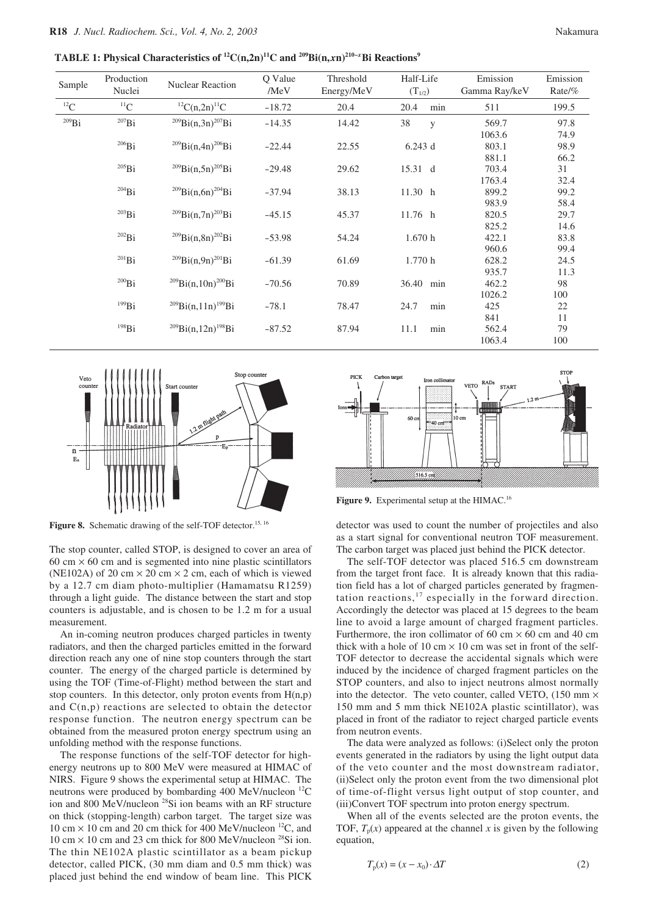**TABLE 1: Physical Characteristics of 12C(n,2n)11C and 209Bi(n,***x***n)210–***<sup>x</sup>* **Bi Reactions9**

| Sample     | Production<br>Nuclei | <b>Nuclear Reaction</b>               | Q Value<br>/MeV | Threshold<br>Energy/MeV | Half-Life<br>$(T_{1/2})$ | Emission<br>Gamma Ray/keV | Emission<br>Rate/% |
|------------|----------------------|---------------------------------------|-----------------|-------------------------|--------------------------|---------------------------|--------------------|
| ${}^{12}C$ | ${}^{11}C$           | ${}^{12}C(n,2n)$ <sup>11</sup> C      | $-18.72$        | 20.4                    | 20.4<br>min              | 511                       | 199.5              |
| $^{209}Bi$ | $^{207}Bi$           | $^{209}Bi(n,3n)^{207}Bi$              | $-14.35$        | 14.42                   | 38<br>y                  | 569.7                     | 97.8               |
|            |                      |                                       |                 |                         |                          | 1063.6                    | 74.9               |
|            | $^{206}Bi$           | $^{209}Bi(n,4n)^{206}Bi$              | $-22.44$        | 22.55                   | $6.243$ d                | 803.1                     | 98.9               |
|            |                      |                                       |                 |                         |                          | 881.1                     | 66.2               |
|            | $^{205}Bi$           | $^{209}Bi(n,5n)^{205}Bi$              | $-29.48$        | 29.62                   | 15.31 d                  | 703.4                     | 31                 |
|            |                      |                                       |                 |                         |                          | 1763.4                    | 32.4               |
|            | $^{204}Bi$           | $^{209}Bi(n,6n)^{204}Bi$              | $-37.94$        | 38.13                   | 11.30 h                  | 899.2                     | 99.2               |
|            |                      |                                       |                 |                         |                          | 983.9                     | 58.4               |
|            | $^{203}Bi$           | $^{209}Bi(n,7n)^{203}Bi$              | $-45.15$        | 45.37                   | 11.76 h                  | 820.5                     | 29.7               |
|            |                      |                                       |                 |                         |                          | 825.2                     | 14.6               |
|            | $^{202}Bi$           | $^{209}Bi(n,8n)^{202}Bi$              | $-53.98$        | 54.24                   | 1.670h                   | 422.1                     | 83.8               |
|            |                      |                                       |                 |                         |                          | 960.6                     | 99.4               |
|            | $^{201}Bi$           | $^{209}Bi(n,9n)^{201}Bi$              | $-61.39$        | 61.69                   | 1.770h                   | 628.2                     | 24.5               |
|            |                      |                                       |                 |                         |                          | 935.7                     | 11.3               |
|            | $^{200}Bi$           | $^{209}$ Bi(n,10n) <sup>200</sup> Bi  | $-70.56$        | 70.89                   | 36.40<br>min             | 462.2                     | 98                 |
|            |                      |                                       |                 |                         |                          | 1026.2                    | 100                |
|            | $^{199}Bi$           | $^{209}Bi(n,11n)^{199}Bi$             | $-78.1$         | 78.47                   | 24.7<br>min              | 425                       | 22                 |
|            |                      |                                       |                 |                         |                          | 841                       | 11                 |
|            | 198Bi                | $^{209}$ Bi(n, 12n) <sup>198</sup> Bi | $-87.52$        | 87.94                   | 11.1<br>min              | 562.4                     | 79                 |
|            |                      |                                       |                 |                         |                          | 1063.4                    | 100                |



Figure 8. Schematic drawing of the self-TOF detector.<sup>15, 16</sup>

The stop counter, called STOP, is designed to cover an area of 60 cm  $\times$  60 cm and is segmented into nine plastic scintillators (NE102A) of 20 cm  $\times$  20 cm  $\times$  2 cm, each of which is viewed by a 12.7 cm diam photo-multiplier (Hamamatsu R1259) through a light guide. The distance between the start and stop counters is adjustable, and is chosen to be 1.2 m for a usual measurement.

An in-coming neutron produces charged particles in twenty radiators, and then the charged particles emitted in the forward direction reach any one of nine stop counters through the start counter. The energy of the charged particle is determined by using the TOF (Time-of-Flight) method between the start and stop counters. In this detector, only proton events from  $H(n,p)$ and  $C(n,p)$  reactions are selected to obtain the detector response function. The neutron energy spectrum can be obtained from the measured proton energy spectrum using an unfolding method with the response functions.

The response functions of the self-TOF detector for highenergy neutrons up to 800 MeV were measured at HIMAC of NIRS. Figure 9 shows the experimental setup at HIMAC. The neutrons were produced by bombarding 400 MeV/nucleon <sup>12</sup>C ion and 800 MeV/nucleon 28Si ion beams with an RF structure on thick (stopping-length) carbon target. The target size was 10 cm  $\times$  10 cm and 20 cm thick for 400 MeV/nucleon <sup>12</sup>C, and 10 cm  $\times$  10 cm and 23 cm thick for 800 MeV/nucleon <sup>28</sup>Si ion. The thin NE102A plastic scintillator as a beam pickup detector, called PICK, (30 mm diam and 0.5 mm thick) was placed just behind the end window of beam line. This PICK



Figure 9. Experimental setup at the HIMAC.<sup>16</sup>

detector was used to count the number of projectiles and also as a start signal for conventional neutron TOF measurement. The carbon target was placed just behind the PICK detector.

The self-TOF detector was placed 516.5 cm downstream from the target front face. It is already known that this radiation field has a lot of charged particles generated by fragmentation reactions, <sup>17</sup> especially in the forward direction. Accordingly the detector was placed at 15 degrees to the beam line to avoid a large amount of charged fragment particles. Furthermore, the iron collimator of 60 cm  $\times$  60 cm and 40 cm thick with a hole of 10 cm  $\times$  10 cm was set in front of the self-TOF detector to decrease the accidental signals which were induced by the incidence of charged fragment particles on the STOP counters, and also to inject neutrons almost normally into the detector. The veto counter, called VETO,  $(150 \text{ mm} \times$ 150 mm and 5 mm thick NE102A plastic scintillator), was placed in front of the radiator to reject charged particle events from neutron events.

The data were analyzed as follows: (i)Select only the proton events generated in the radiators by using the light output data of the veto counter and the most downstream radiator, (ii)Select only the proton event from the two dimensional plot of time-of-flight versus light output of stop counter, and (iii)Convert TOF spectrum into proton energy spectrum.

When all of the events selected are the proton events, the TOF,  $T_p(x)$  appeared at the channel x is given by the following equation,

$$
T_p(x) = (x - x_0) \cdot \Delta T \tag{2}
$$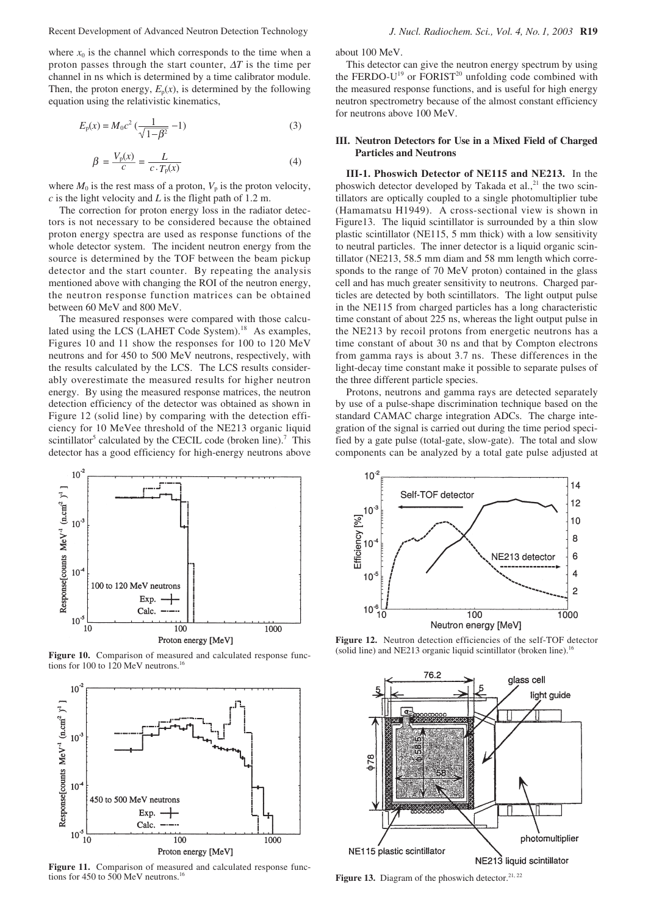where  $x_0$  is the channel which corresponds to the time when a proton passes through the start counter, ∆*T* is the time per channel in ns which is determined by a time calibrator module. Then, the proton energy,  $E_p(x)$ , is determined by the following equation using the relativistic kinematics,

$$
E_{\rm p}(x) = M_0 c^2 \left(\frac{1}{\sqrt{1 - \beta^2}} - 1\right) \tag{3}
$$

$$
\beta = \frac{V_{\rm p}(x)}{c} = \frac{L}{c \cdot T_{\rm p}(x)}\tag{4}
$$

where  $M_0$  is the rest mass of a proton,  $V_p$  is the proton velocity, *c* is the light velocity and *L* is the flight path of 1.2 m.

The correction for proton energy loss in the radiator detectors is not necessary to be considered because the obtained proton energy spectra are used as response functions of the whole detector system. The incident neutron energy from the source is determined by the TOF between the beam pickup detector and the start counter. By repeating the analysis mentioned above with changing the ROI of the neutron energy, the neutron response function matrices can be obtained between 60 MeV and 800 MeV.

The measured responses were compared with those calculated using the LCS (LAHET Code System).<sup>18</sup> As examples, Figures 10 and 11 show the responses for 100 to 120 MeV neutrons and for 450 to 500 MeV neutrons, respectively, with the results calculated by the LCS. The LCS results considerably overestimate the measured results for higher neutron energy. By using the measured response matrices, the neutron detection efficiency of the detector was obtained as shown in Figure 12 (solid line) by comparing with the detection efficiency for 10 MeVee threshold of the NE213 organic liquid scintillator<sup>5</sup> calculated by the CECIL code (broken line).<sup>7</sup> This detector has a good efficiency for high-energy neutrons above



**Figure 10.** Comparison of measured and calculated response functions for 100 to 120 MeV neutrons.<sup>1</sup>



**Figure 11.** Comparison of measured and calculated response functions for 450 to 500 MeV neutrons.<sup>16</sup>

about 100 MeV.

This detector can give the neutron energy spectrum by using the FERDO-U<sup>19</sup> or FORIST<sup>20</sup> unfolding code combined with the measured response functions, and is useful for high energy neutron spectrometry because of the almost constant efficiency for neutrons above 100 MeV.

## **III. Neutron Detectors for Use in a Mixed Field of Charged Particles and Neutrons**

**III-1. Phoswich Detector of NE115 and NE213.** In the phoswich detector developed by Takada et al., $^{21}$  the two scintillators are optically coupled to a single photomultiplier tube (Hamamatsu H1949). A cross-sectional view is shown in Figure13. The liquid scintillator is surrounded by a thin slow plastic scintillator (NE115, 5 mm thick) with a low sensitivity to neutral particles. The inner detector is a liquid organic scintillator (NE213, 58.5 mm diam and 58 mm length which corresponds to the range of 70 MeV proton) contained in the glass cell and has much greater sensitivity to neutrons. Charged particles are detected by both scintillators. The light output pulse in the NE115 from charged particles has a long characteristic time constant of about 225 ns, whereas the light output pulse in the NE213 by recoil protons from energetic neutrons has a time constant of about 30 ns and that by Compton electrons from gamma rays is about 3.7 ns. These differences in the light-decay time constant make it possible to separate pulses of the three different particle species.

Protons, neutrons and gamma rays are detected separately by use of a pulse-shape discrimination technique based on the standard CAMAC charge integration ADCs. The charge integration of the signal is carried out during the time period specified by a gate pulse (total-gate, slow-gate). The total and slow components can be analyzed by a total gate pulse adjusted at



**Figure 12.** Neutron detection efficiencies of the self-TOF detector (solid line) and NE213 organic liquid scintillator (broken line).<sup>16</sup>



Figure 13. Diagram of the phoswich detector.<sup>21, 22</sup>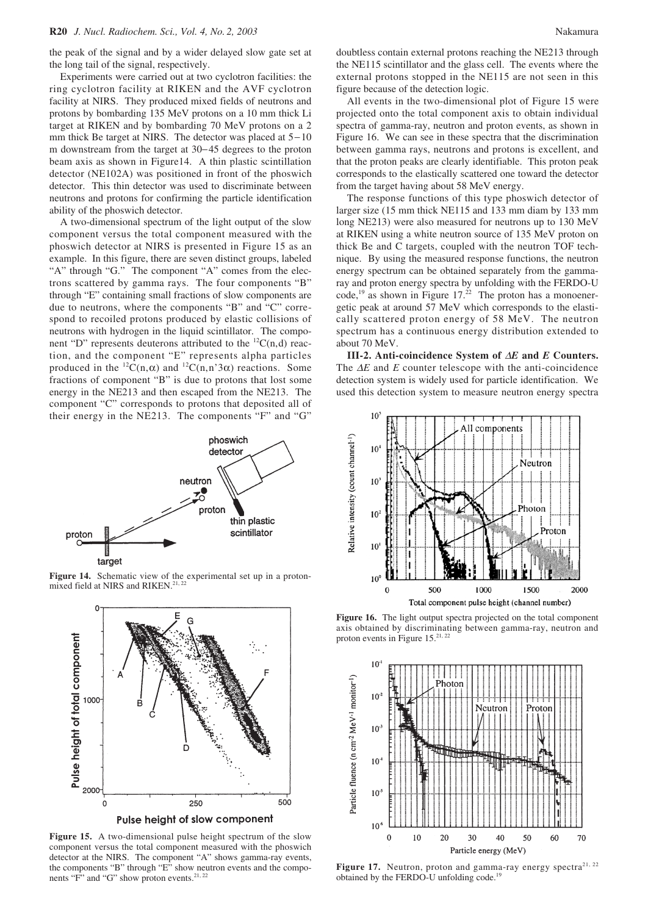the peak of the signal and by a wider delayed slow gate set at the long tail of the signal, respectively.

Experiments were carried out at two cyclotron facilities: the ring cyclotron facility at RIKEN and the AVF cyclotron facility at NIRS. They produced mixed fields of neutrons and protons by bombarding 135 MeV protons on a 10 mm thick Li target at RIKEN and by bombarding 70 MeV protons on a 2 mm thick Be target at NIRS. The detector was placed at 5−10 m downstream from the target at 30−45 degrees to the proton beam axis as shown in Figure14. A thin plastic scintillation detector (NE102A) was positioned in front of the phoswich detector. This thin detector was used to discriminate between neutrons and protons for confirming the particle identification ability of the phoswich detector.

A two-dimensional spectrum of the light output of the slow component versus the total component measured with the phoswich detector at NIRS is presented in Figure 15 as an example. In this figure, there are seven distinct groups, labeled "A" through "G." The component "A" comes from the electrons scattered by gamma rays. The four components "B" through "E" containing small fractions of slow components are due to neutrons, where the components "B" and "C" correspond to recoiled protons produced by elastic collisions of neutrons with hydrogen in the liquid scintillator. The component "D" represents deuterons attributed to the  ${}^{12}C(n,d)$  reaction, and the component "E" represents alpha particles produced in the  ${}^{12}C(n,\alpha)$  and  ${}^{12}C(n,n'3\alpha)$  reactions. Some fractions of component "B" is due to protons that lost some energy in the NE213 and then escaped from the NE213. The component "C" corresponds to protons that deposited all of their energy in the NE213. The components "F" and "G"



**Figure 14.** Schematic view of the experimental set up in a protonmixed field at NIRS and RIKEN.<sup>21, 2</sup>



**Figure 15.** A two-dimensional pulse height spectrum of the slow component versus the total component measured with the phoswich detector at the NIRS. The component "A" shows gamma-ray events, the components "B" through "E" show neutron events and the components "F" and "G" show proton events.<sup>21, 22</sup>

doubtless contain external protons reaching the NE213 through the NE115 scintillator and the glass cell. The events where the external protons stopped in the NE115 are not seen in this figure because of the detection logic.

All events in the two-dimensional plot of Figure 15 were projected onto the total component axis to obtain individual spectra of gamma-ray, neutron and proton events, as shown in Figure 16. We can see in these spectra that the discrimination between gamma rays, neutrons and protons is excellent, and that the proton peaks are clearly identifiable. This proton peak corresponds to the elastically scattered one toward the detector from the target having about 58 MeV energy.

The response functions of this type phoswich detector of larger size (15 mm thick NE115 and 133 mm diam by 133 mm long NE213) were also measured for neutrons up to 130 MeV at RIKEN using a white neutron source of 135 MeV proton on thick Be and C targets, coupled with the neutron TOF technique. By using the measured response functions, the neutron energy spectrum can be obtained separately from the gammaray and proton energy spectra by unfolding with the FERDO-U  $code<sub>19</sub>$  as shown in Figure 17.<sup>22</sup> The proton has a monoenergetic peak at around 57 MeV which corresponds to the elastically scattered proton energy of 58 MeV. The neutron spectrum has a continuous energy distribution extended to about 70 MeV.

**III-2. Anti-coincidence System of** ∆*E* **and** *E* **Counters.** The ∆*E* and *E* counter telescope with the anti-coincidence detection system is widely used for particle identification. We used this detection system to measure neutron energy spectra



Figure 16. The light output spectra projected on the total component axis obtained by discriminating between gamma-ray, neutron and proton events in Figure 15.<sup>21, 22</sup>



Figure 17. Neutron, proton and gamma-ray energy spectra<sup>21, 22</sup> obtained by the FERDO-U unfolding code.<sup>19</sup>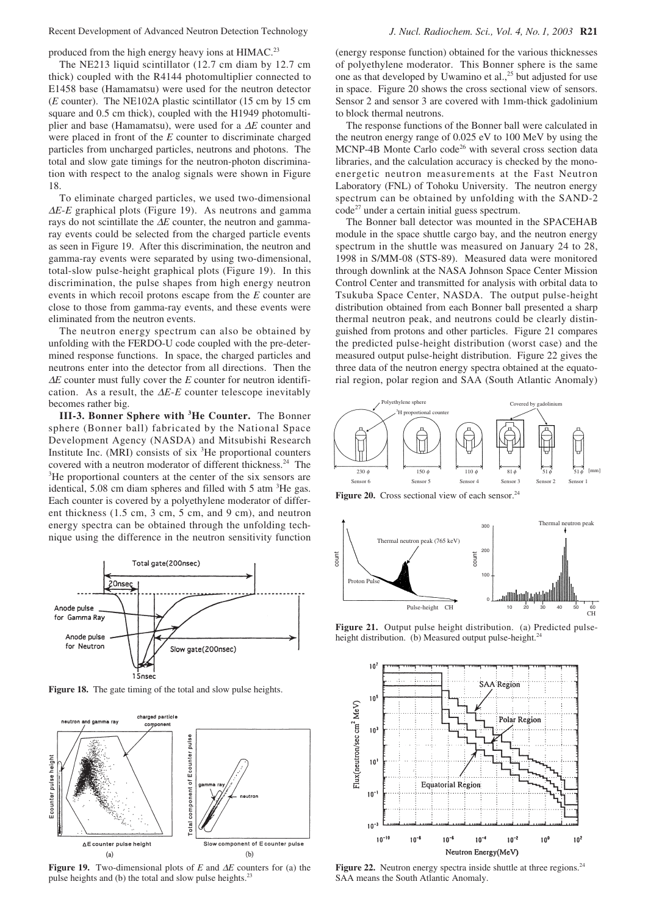Recent Development of Advanced Neutron Detection Technology *J. Nucl. Radiochem. Sci., Vol. 4, No. 1, 2003* **R21**

produced from the high energy heavy ions at HIMAC.<sup>23</sup>

The NE213 liquid scintillator (12.7 cm diam by 12.7 cm thick) coupled with the R4144 photomultiplier connected to E1458 base (Hamamatsu) were used for the neutron detector (*E* counter). The NE102A plastic scintillator (15 cm by 15 cm square and 0.5 cm thick), coupled with the H1949 photomultiplier and base (Hamamatsu), were used for a ∆*E* counter and were placed in front of the *E* counter to discriminate charged particles from uncharged particles, neutrons and photons. The total and slow gate timings for the neutron-photon discrimination with respect to the analog signals were shown in Figure 18.

To eliminate charged particles, we used two-dimensional <sup>∆</sup>*E*-*E* graphical plots (Figure 19). As neutrons and gamma rays do not scintillate the ∆*E* counter, the neutron and gammaray events could be selected from the charged particle events as seen in Figure 19. After this discrimination, the neutron and gamma-ray events were separated by using two-dimensional, total-slow pulse-height graphical plots (Figure 19). In this discrimination, the pulse shapes from high energy neutron events in which recoil protons escape from the *E* counter are close to those from gamma-ray events, and these events were eliminated from the neutron events.

The neutron energy spectrum can also be obtained by unfolding with the FERDO-U code coupled with the pre-determined response functions. In space, the charged particles and neutrons enter into the detector from all directions. Then the <sup>∆</sup>*E* counter must fully cover the *E* counter for neutron identification. As a result, the ∆*E*-*E* counter telescope inevitably becomes rather big.

**III-3. Bonner Sphere with 3 He Counter.** The Bonner sphere (Bonner ball) fabricated by the National Space Development Agency (NASDA) and Mitsubishi Research Institute Inc. (MRI) consists of six <sup>3</sup>He proportional counters covered with a neutron moderator of different thickness.<sup>24</sup> The <sup>3</sup>He proportional counters at the center of the six sensors are identical, 5.08 cm diam spheres and filled with 5 atm  ${}^{3}$ He gas. Each counter is covered by a polyethylene moderator of different thickness (1.5 cm, 3 cm, 5 cm, and 9 cm), and neutron energy spectra can be obtained through the unfolding technique using the difference in the neutron sensitivity function



**Figure 18.** The gate timing of the total and slow pulse heights.



**Figure 19.** Two-dimensional plots of *E* and ∆*E* counters for (a) the pulse heights and (b) the total and slow pulse heights.<sup>2</sup>

(energy response function) obtained for the various thicknesses of polyethylene moderator. This Bonner sphere is the same one as that developed by Uwamino et al., $^{25}$  but adjusted for use in space. Figure 20 shows the cross sectional view of sensors. Sensor 2 and sensor 3 are covered with 1mm-thick gadolinium to block thermal neutrons.

The response functions of the Bonner ball were calculated in the neutron energy range of 0.025 eV to 100 MeV by using the  $MCNP-4B$  Monte Carlo code<sup>26</sup> with several cross section data libraries, and the calculation accuracy is checked by the monoenergetic neutron measurements at the Fast Neutron Laboratory (FNL) of Tohoku University. The neutron energy spectrum can be obtained by unfolding with the SAND-2  $\text{code}^{27}$  under a certain initial guess spectrum.

The Bonner ball detector was mounted in the SPACEHAB module in the space shuttle cargo bay, and the neutron energy spectrum in the shuttle was measured on January 24 to 28, 1998 in S/MM-08 (STS-89). Measured data were monitored through downlink at the NASA Johnson Space Center Mission Control Center and transmitted for analysis with orbital data to Tsukuba Space Center, NASDA. The output pulse-height distribution obtained from each Bonner ball presented a sharp thermal neutron peak, and neutrons could be clearly distinguished from protons and other particles. Figure 21 compares the predicted pulse-height distribution (worst case) and the measured output pulse-height distribution. Figure 22 gives the three data of the neutron energy spectra obtained at the equatorial region, polar region and SAA (South Atlantic Anomaly)



Figure 20. Cross sectional view of each sensor.<sup>24</sup>



**Figure 21.** Output pulse height distribution. (a) Predicted pulseheight distribution. (b) Measured output pulse-height.<sup>24</sup>



**Figure 22.** Neutron energy spectra inside shuttle at three regions.<sup>24</sup> SAA means the South Atlantic Anomaly.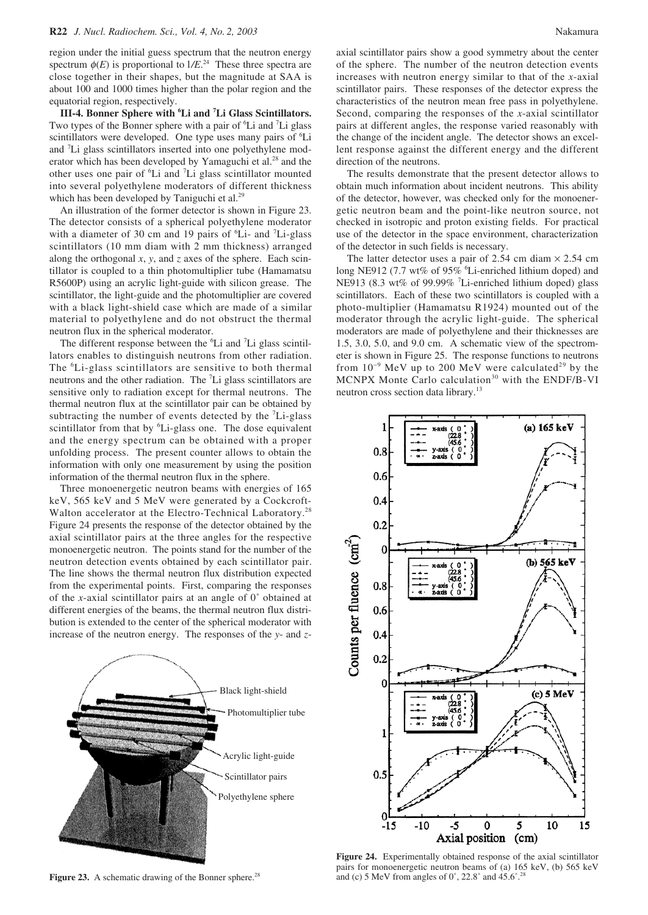region under the initial guess spectrum that the neutron energy spectrum  $\phi(E)$  is proportional to  $1/E^{24}$  These three spectra are close together in their shapes, but the magnitude at SAA is about 100 and 1000 times higher than the polar region and the equatorial region, respectively.

**III-4. Bonner Sphere with 6 Li and 7 Li Glass Scintillators.** Two types of the Bonner sphere with a pair of <sup>6</sup>Li and <sup>7</sup>Li glass scintillators were developed. One type uses many pairs of <sup>6</sup>Li and 7 Li glass scintillators inserted into one polyethylene moderator which has been developed by Yamaguchi et al.<sup>28</sup> and the other uses one pair of <sup>6</sup>Li and <sup>7</sup>Li glass scintillator mounted into several polyethylene moderators of different thickness which has been developed by Taniguchi et al.<sup>29</sup>

An illustration of the former detector is shown in Figure 23. The detector consists of a spherical polyethylene moderator with a diameter of 30 cm and 19 pairs of <sup>6</sup>Li- and <sup>7</sup>Li-glass scintillators (10 mm diam with 2 mm thickness) arranged along the orthogonal *x*, *y*, and *z* axes of the sphere. Each scintillator is coupled to a thin photomultiplier tube (Hamamatsu R5600P) using an acrylic light-guide with silicon grease. The scintillator, the light-guide and the photomultiplier are covered with a black light-shield case which are made of a similar material to polyethylene and do not obstruct the thermal neutron flux in the spherical moderator.

The different response between the  ${}^{6}$ Li and  ${}^{7}$ Li glass scintillators enables to distinguish neutrons from other radiation. The <sup>6</sup>Li-glass scintillators are sensitive to both thermal neutrons and the other radiation. The <sup>7</sup>Li glass scintillators are sensitive only to radiation except for thermal neutrons. The thermal neutron flux at the scintillator pair can be obtained by subtracting the number of events detected by the <sup>7</sup>Li-glass scintillator from that by <sup>6</sup>Li-glass one. The dose equivalent and the energy spectrum can be obtained with a proper unfolding process. The present counter allows to obtain the information with only one measurement by using the position information of the thermal neutron flux in the sphere.

Three monoenergetic neutron beams with energies of 165 keV, 565 keV and 5 MeV were generated by a Cockcroft-Walton accelerator at the Electro-Technical Laboratory.<sup>28</sup> Figure 24 presents the response of the detector obtained by the axial scintillator pairs at the three angles for the respective monoenergetic neutron. The points stand for the number of the neutron detection events obtained by each scintillator pair. The line shows the thermal neutron flux distribution expected from the experimental points. First, comparing the responses of the *x*-axial scintillator pairs at an angle of 0˚ obtained at different energies of the beams, the thermal neutron flux distribution is extended to the center of the spherical moderator with increase of the neutron energy. The responses of the *y*- and *z*-



Figure 23. A schematic drawing of the Bonner sphere.<sup>28</sup>

axial scintillator pairs show a good symmetry about the center of the sphere. The number of the neutron detection events increases with neutron energy similar to that of the *x*-axial scintillator pairs. These responses of the detector express the characteristics of the neutron mean free pass in polyethylene. Second, comparing the responses of the *x*-axial scintillator pairs at different angles, the response varied reasonably with the change of the incident angle. The detector shows an excellent response against the different energy and the different direction of the neutrons.

The results demonstrate that the present detector allows to obtain much information about incident neutrons. This ability of the detector, however, was checked only for the monoenergetic neutron beam and the point-like neutron source, not checked in isotropic and proton existing fields. For practical use of the detector in the space environment, characterization of the detector in such fields is necessary.

The latter detector uses a pair of 2.54 cm diam  $\times$  2.54 cm long NE912 (7.7 wt% of 95% <sup>6</sup>Li-enriched lithium doped) and NE913 (8.3 wt% of 99.99% <sup>7</sup>Li-enriched lithium doped) glass scintillators. Each of these two scintillators is coupled with a photo-multiplier (Hamamatsu R1924) mounted out of the moderator through the acrylic light-guide. The spherical moderators are made of polyethylene and their thicknesses are 1.5, 3.0, 5.0, and 9.0 cm. A schematic view of the spectrometer is shown in Figure 25. The response functions to neutrons from  $10^{-9}$  MeV up to 200 MeV were calculated<sup>29</sup> by the MCNPX Monte Carlo calculation<sup>30</sup> with the ENDF/B-VI neutron cross section data library.13



**Figure 24.** Experimentally obtained response of the axial scintillator pairs for monoenergetic neutron beams of (a) 165 keV, (b) 565 keV and (c) 5 MeV from angles of  $0^\circ$ , 22.8 $^\circ$  and 45.6 $^\circ$ .<sup>28</sup>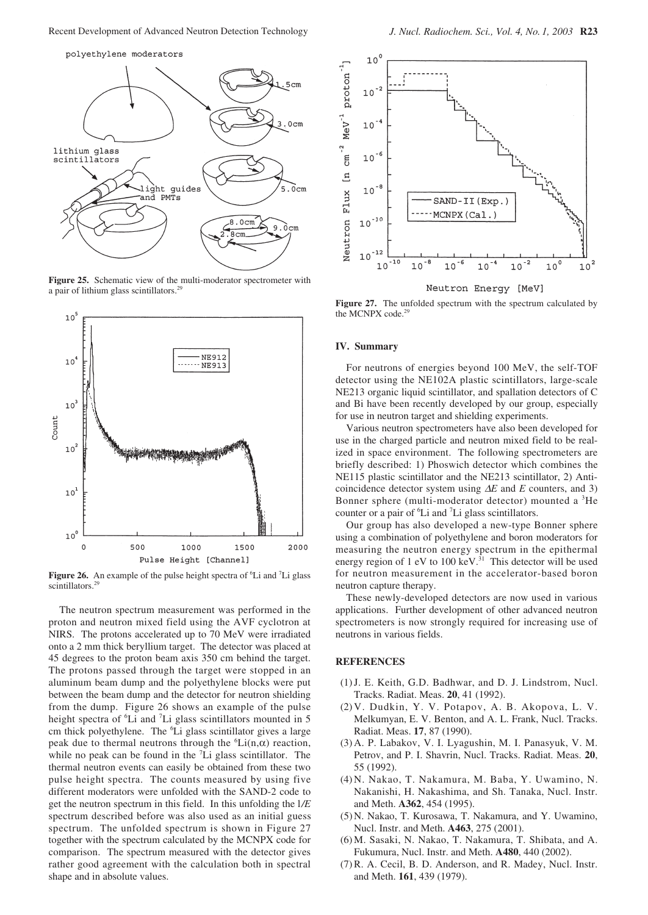

**Figure 25.** Schematic view of the multi-moderator spectrometer with a pair of lithium glass scintillators.<sup>29</sup>



Figure 26. An example of the pulse height spectra of <sup>6</sup>Li and <sup>7</sup>Li glass scintillators.<sup>2</sup>

The neutron spectrum measurement was performed in the proton and neutron mixed field using the AVF cyclotron at NIRS. The protons accelerated up to 70 MeV were irradiated onto a 2 mm thick beryllium target. The detector was placed at 45 degrees to the proton beam axis 350 cm behind the target. The protons passed through the target were stopped in an aluminum beam dump and the polyethylene blocks were put between the beam dump and the detector for neutron shielding from the dump. Figure 26 shows an example of the pulse height spectra of <sup>6</sup>Li and <sup>7</sup>Li glass scintillators mounted in 5 cm thick polyethylene. The <sup>6</sup>Li glass scintillator gives a large peak due to thermal neutrons through the  ${}^6$ Li(n, $\alpha$ ) reaction, while no peak can be found in the  ${}^{7}Li$  glass scintillator. The thermal neutron events can easily be obtained from these two pulse height spectra. The counts measured by using five different moderators were unfolded with the SAND-2 code to get the neutron spectrum in this field. In this unfolding the l*/E* spectrum described before was also used as an initial guess spectrum. The unfolded spectrum is shown in Figure 27 together with the spectrum calculated by the MCNPX code for comparison. The spectrum measured with the detector gives rather good agreement with the calculation both in spectral shape and in absolute values.



**Figure 27.** The unfolded spectrum with the spectrum calculated by the MCNPX code.<sup>2</sup>

#### **IV. Summary**

For neutrons of energies beyond 100 MeV, the self-TOF detector using the NE102A plastic scintillators, large-scale NE213 organic liquid scintillator, and spallation detectors of C and Bi have been recently developed by our group, especially for use in neutron target and shielding experiments.

Various neutron spectrometers have also been developed for use in the charged particle and neutron mixed field to be realized in space environment. The following spectrometers are briefly described: 1) Phoswich detector which combines the NE115 plastic scintillator and the NE213 scintillator, 2) Anticoincidence detector system using ∆*E* and *E* counters, and 3) Bonner sphere (multi-moderator detector) mounted a <sup>3</sup>He counter or a pair of <sup>6</sup>Li and <sup>7</sup>Li glass scintillators.

Our group has also developed a new-type Bonner sphere using a combination of polyethylene and boron moderators for measuring the neutron energy spectrum in the epithermal energy region of 1 eV to 100 keV.<sup>31</sup> This detector will be used for neutron measurement in the accelerator-based boron neutron capture therapy.

These newly-developed detectors are now used in various applications. Further development of other advanced neutron spectrometers is now strongly required for increasing use of neutrons in various fields.

## **REFERENCES**

- (1) J. E. Keith, G.D. Badhwar, and D. J. Lindstrom, Nucl. Tracks. Radiat. Meas. **20**, 41 (1992).
- (2) V. Dudkin, Y. V. Potapov, A. B. Akopova, L. V. Melkumyan, E. V. Benton, and A. L. Frank, Nucl. Tracks. Radiat. Meas. **17**, 87 (1990).
- (3) A. P. Labakov, V. I. Lyagushin, M. I. Panasyuk, V. M. Petrov, and P. I. Shavrin, Nucl. Tracks. Radiat. Meas. **20**, 55 (1992).
- (4) N. Nakao, T. Nakamura, M. Baba, Y. Uwamino, N. Nakanishi, H. Nakashima, and Sh. Tanaka, Nucl. Instr. and Meth. **A362**, 454 (1995).
- (5) N. Nakao, T. Kurosawa, T. Nakamura, and Y. Uwamino, Nucl. Instr. and Meth. **A463**, 275 (2001).
- (6) M. Sasaki, N. Nakao, T. Nakamura, T. Shibata, and A. Fukumura, Nucl. Instr. and Meth. **A480**, 440 (2002).
- (7) R. A. Cecil, B. D. Anderson, and R. Madey, Nucl. Instr. and Meth. **161**, 439 (1979).